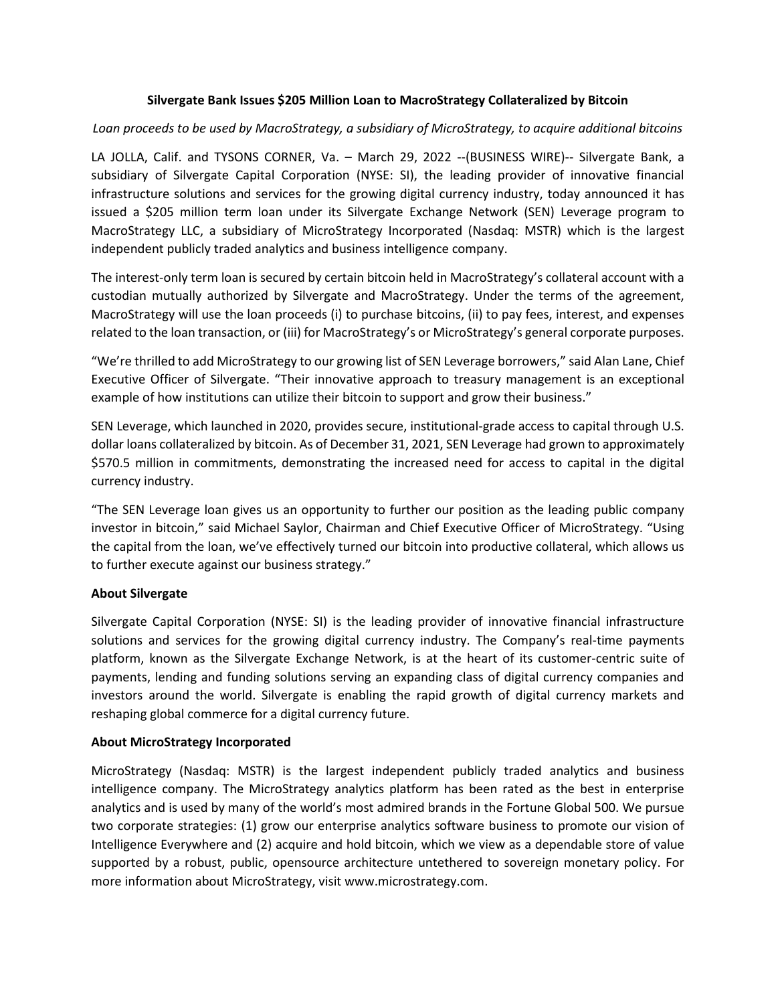## **Silvergate Bank Issues \$205 Million Loan to MacroStrategy Collateralized by Bitcoin**

## *Loan proceeds to be used by MacroStrategy, a subsidiary of MicroStrategy, to acquire additional bitcoins*

LA JOLLA, Calif. and TYSONS CORNER, Va. – March 29, 2022 --(BUSINESS WIRE)-- Silvergate Bank, a subsidiary of Silvergate Capital Corporation (NYSE: SI), the leading provider of innovative financial infrastructure solutions and services for the growing digital currency industry, today announced it has issued a \$205 million term loan under its Silvergate Exchange Network (SEN) Leverage program to MacroStrategy LLC, a subsidiary of MicroStrategy Incorporated (Nasdaq: MSTR) which is the largest independent publicly traded analytics and business intelligence company.

The interest-only term loan is secured by certain bitcoin held in MacroStrategy's collateral account with a custodian mutually authorized by Silvergate and MacroStrategy. Under the terms of the agreement, MacroStrategy will use the loan proceeds (i) to purchase bitcoins, (ii) to pay fees, interest, and expenses related to the loan transaction, or (iii) for MacroStrategy's or MicroStrategy's general corporate purposes.

"We're thrilled to add MicroStrategy to our growing list of SEN Leverage borrowers," said Alan Lane, Chief Executive Officer of Silvergate. "Their innovative approach to treasury management is an exceptional example of how institutions can utilize their bitcoin to support and grow their business."

SEN Leverage, which launched in 2020, provides secure, institutional-grade access to capital through U.S. dollar loans collateralized by bitcoin. As of December 31, 2021, SEN Leverage had grown to approximately \$570.5 million in commitments, demonstrating the increased need for access to capital in the digital currency industry.

"The SEN Leverage loan gives us an opportunity to further our position as the leading public company investor in bitcoin," said Michael Saylor, Chairman and Chief Executive Officer of MicroStrategy. "Using the capital from the loan, we've effectively turned our bitcoin into productive collateral, which allows us to further execute against our business strategy."

## **About Silvergate**

Silvergate Capital Corporation (NYSE: SI) is the leading provider of innovative financial infrastructure solutions and services for the growing digital currency industry. The Company's real-time payments platform, known as the Silvergate Exchange Network, is at the heart of its customer-centric suite of payments, lending and funding solutions serving an expanding class of digital currency companies and investors around the world. Silvergate is enabling the rapid growth of digital currency markets and reshaping global commerce for a digital currency future.

## **About MicroStrategy Incorporated**

MicroStrategy (Nasdaq: MSTR) is the largest independent publicly traded analytics and business intelligence company. The MicroStrategy analytics platform has been rated as the best in enterprise analytics and is used by many of the world's most admired brands in the Fortune Global 500. We pursue two corporate strategies: (1) grow our enterprise analytics software business to promote our vision of Intelligence Everywhere and (2) acquire and hold bitcoin, which we view as a dependable store of value supported by a robust, public, opensource architecture untethered to sovereign monetary policy. For more information about MicroStrategy, visit www.microstrategy.com.